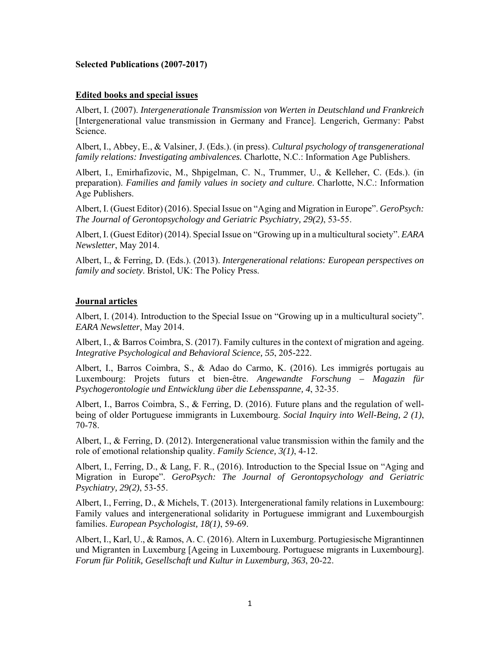### **Selected Publications (2007-2017)**

#### **Edited books and special issues**

Albert, I. (2007). *Intergenerationale Transmission von Werten in Deutschland und Frankreich* [Intergenerational value transmission in Germany and France]. Lengerich, Germany: Pabst Science.

Albert, I., Abbey, E., & Valsiner, J. (Eds.). (in press). *Cultural psychology of transgenerational family relations: Investigating ambivalences.* Charlotte, N.C.: Information Age Publishers.

Albert, I., Emirhafizovic, M., Shpigelman, C. N., Trummer, U., & Kelleher, C. (Eds.). (in preparation). *Families and family values in society and culture*. Charlotte, N.C.: Information Age Publishers.

Albert, I. (Guest Editor) (2016). Special Issue on "Aging and Migration in Europe". *GeroPsych: The Journal of Gerontopsychology and Geriatric Psychiatry, 29(2)*, 53-55.

Albert, I. (Guest Editor) (2014). Special Issue on "Growing up in a multicultural society". *EARA Newsletter*, May 2014.

Albert, I., & Ferring, D. (Eds.). (2013). *Intergenerational relations: European perspectives on family and society*. Bristol, UK: The Policy Press.

#### **Journal articles**

Albert, I. (2014). Introduction to the Special Issue on "Growing up in a multicultural society". *EARA Newsletter*, May 2014.

Albert, I., & Barros Coimbra, S. (2017). Family cultures in the context of migration and ageing. *Integrative Psychological and Behavioral Science, 55*, 205-222.

Albert, I., Barros Coimbra, S., & Adao do Carmo, K. (2016). Les immigrés portugais au Luxembourg: Projets futurs et bien-être. *Angewandte Forschung – Magazin für Psychogerontologie und Entwicklung über die Lebensspanne, 4*, 32-35.

Albert, I., Barros Coimbra, S., & Ferring, D. (2016). Future plans and the regulation of wellbeing of older Portuguese immigrants in Luxembourg. *Social Inquiry into Well-Being, 2 (1)*, 70-78.

Albert, I., & Ferring, D. (2012). Intergenerational value transmission within the family and the role of emotional relationship quality. *Family Science, 3(1)*, 4-12.

Albert, I., Ferring, D., & Lang, F. R., (2016). Introduction to the Special Issue on "Aging and Migration in Europe". *GeroPsych: The Journal of Gerontopsychology and Geriatric Psychiatry, 29(2)*, 53-55.

Albert, I., Ferring, D., & Michels, T. (2013). Intergenerational family relations in Luxembourg: Family values and intergenerational solidarity in Portuguese immigrant and Luxembourgish families. *European Psychologist, 18(1)*, 59-69.

Albert, I., Karl, U., & Ramos, A. C. (2016). Altern in Luxemburg. Portugiesische Migrantinnen und Migranten in Luxemburg [Ageing in Luxembourg. Portuguese migrants in Luxembourg]. *Forum für Politik, Gesellschaft und Kultur in Luxemburg, 363*, 20-22.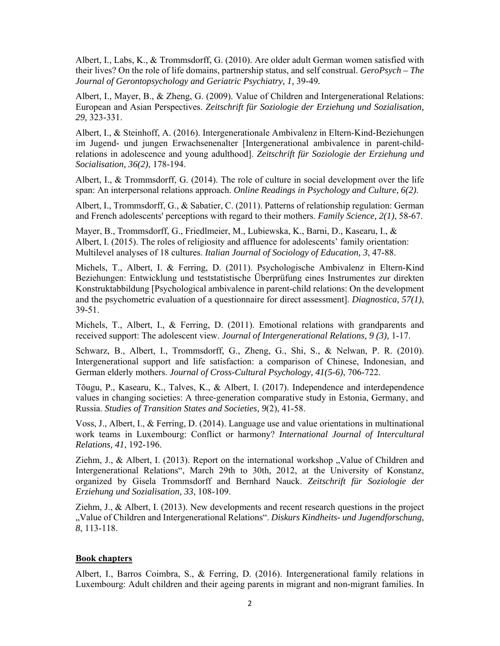Albert, I., Labs, K., & Trommsdorff, G. (2010). Are older adult German women satisfied with their lives? On the role of life domains, partnership status, and self construal. *GeroPsych – The Journal of Gerontopsychology and Geriatric Psychiatry, 1,* 39-49*.*

Albert, I., Mayer, B., & Zheng, G. (2009). Value of Children and Intergenerational Relations: European and Asian Perspectives. *Zeitschrift für Soziologie der Erziehung und Sozialisation, 29,* 323-331.

Albert, I., & Steinhoff, A. (2016). Intergenerationale Ambivalenz in Eltern-Kind-Beziehungen im Jugend- und jungen Erwachsenenalter [Intergenerational ambivalence in parent-childrelations in adolescence and young adulthood]. *Zeitschrift für Soziologie der Erziehung und Socialisation, 36(2)*, 178-194.

Albert, I., & Trommsdorff, G. (2014). The role of culture in social development over the life span: An interpersonal relations approach. *Online Readings in Psychology and Culture, 6(2)*.

Albert, I., Trommsdorff, G., & Sabatier, C. (2011). Patterns of relationship regulation: German and French adolescents' perceptions with regard to their mothers. *Family Science, 2(1)*, 58-67.

Mayer, B., Trommsdorff, G., Friedlmeier, M., Lubiewska, K., Barni, D., Kasearu, I., & Albert, I. (2015). The roles of religiosity and affluence for adolescents' family orientation: Multilevel analyses of 18 cultures. *Italian Journal of Sociology of Education, 3*, 47-88.

Michels, T., Albert, I. & Ferring, D. (2011). Psychologische Ambivalenz in Eltern-Kind Beziehungen: Entwicklung und teststatistische Überprüfung eines Instrumentes zur direkten Konstruktabbildung [Psychological ambivalence in parent-child relations: On the development and the psychometric evaluation of a questionnaire for direct assessment]. *Diagnostica, 57(1)*, 39-51.

Michels, T., Albert, I., & Ferring, D. (2011). Emotional relations with grandparents and received support: The adolescent view. *Journal of Intergenerational Relations, 9 (3),* 1-17.

Schwarz, B., Albert, I., Trommsdorff, G., Zheng, G., Shi, S., & Nelwan, P. R. (2010). Intergenerational support and life satisfaction: a comparison of Chinese, Indonesian, and German elderly mothers. *Journal of Cross-Cultural Psychology, 41(5-6)*, 706-722.

Tõugu, P., Kasearu, K., Talves, K., & Albert, I. (2017). Independence and interdependence values in changing societies: A three-generation comparative study in Estonia, Germany, and Russia. *Studies of Transition States and Societies, 9*(2), 41-58.

Voss, J., Albert, I., & Ferring, D. (2014). Language use and value orientations in multinational work teams in Luxembourg: Conflict or harmony? *International Journal of Intercultural Relations, 41*, 192-196.

Ziehm, J., & Albert, I. (2013). Report on the international workshop "Value of Children and Intergenerational Relations", March 29th to 30th, 2012, at the University of Konstanz, organized by Gisela Trommsdorff and Bernhard Nauck. *Zeitschrift für Soziologie der Erziehung und Sozialisation, 33*, 108-109.

Ziehm, J., & Albert, I. (2013). New developments and recent research questions in the project "Value of Children and Intergenerational Relations". *Diskurs Kindheits- und Jugendforschung, 8*, 113-118.

#### **Book chapters**

Albert, I., Barros Coimbra, S., & Ferring, D. (2016). Intergenerational family relations in Luxembourg: Adult children and their ageing parents in migrant and non-migrant families. In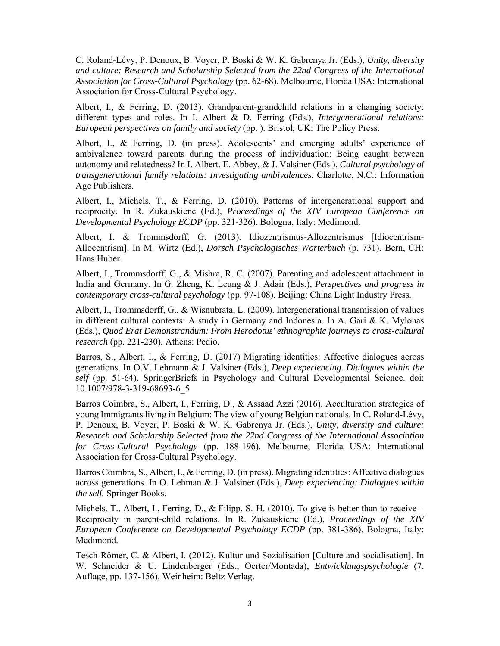C. Roland-Lévy, P. Denoux, B. Voyer, P. Boski & W. K. Gabrenya Jr. (Eds.), *Unity, diversity and culture: Research and Scholarship Selected from the 22nd Congress of the International Association for Cross-Cultural Psychology* (pp. 62-68). Melbourne, Florida USA: International Association for Cross-Cultural Psychology.

Albert, I., & Ferring, D. (2013). Grandparent-grandchild relations in a changing society: different types and roles. In I. Albert & D. Ferring (Eds.), *Intergenerational relations: European perspectives on family and society* (pp. ). Bristol, UK: The Policy Press.

Albert, I., & Ferring, D. (in press). Adolescents' and emerging adults' experience of ambivalence toward parents during the process of individuation: Being caught between autonomy and relatedness? In I. Albert, E. Abbey, & J. Valsiner (Eds.), *Cultural psychology of transgenerational family relations: Investigating ambivalences.* Charlotte, N.C.: Information Age Publishers.

Albert, I., Michels, T., & Ferring, D. (2010). Patterns of intergenerational support and reciprocity. In R. Zukauskiene (Ed.), *Proceedings of the XIV European Conference on Developmental Psychology ECDP* (pp. 321-326). Bologna, Italy: Medimond.

Albert, I. & Trommsdorff, G. (2013). Idiozentrismus-Allozentrismus [Idiocentrism-Allocentrism]. In M. Wirtz (Ed.), *Dorsch Psychologisches Wörterbuch* (p. 731). Bern, CH: Hans Huber.

Albert, I., Trommsdorff, G., & Mishra, R. C. (2007). Parenting and adolescent attachment in India and Germany. In G. Zheng, K. Leung & J. Adair (Eds.), *Perspectives and progress in contemporary cross-cultural psychology* (pp. 97-108). Beijing: China Light Industry Press.

Albert, I., Trommsdorff, G., & Wisnubrata, L. (2009). Intergenerational transmission of values in different cultural contexts: A study in Germany and Indonesia. In A. Gari & K. Mylonas (Eds.), *Quod Erat Demonstrandum: From Herodotus' ethnographic journeys to cross-cultural research* (pp. 221-230)*.* Athens: Pedio.

Barros, S., Albert, I., & Ferring, D. (2017) Migrating identities: Affective dialogues across generations. In O.V. Lehmann & J. Valsiner (Eds.), *Deep experiencing. Dialogues within the self* (pp. 51-64). SpringerBriefs in Psychology and Cultural Developmental Science. doi: 10.1007/978-3-319-68693-6\_5

Barros Coimbra, S., Albert, I., Ferring, D., & Assaad Azzi (2016). Acculturation strategies of young Immigrants living in Belgium: The view of young Belgian nationals. In C. Roland-Lévy, P. Denoux, B. Voyer, P. Boski & W. K. Gabrenya Jr. (Eds.), *Unity, diversity and culture: Research and Scholarship Selected from the 22nd Congress of the International Association for Cross-Cultural Psychology* (pp. 188-196). Melbourne, Florida USA: International Association for Cross-Cultural Psychology.

Barros Coimbra, S., Albert, I., & Ferring, D. (in press). Migrating identities: Affective dialogues across generations. In O. Lehman & J. Valsiner (Eds.), *Deep experiencing: Dialogues within the self.* Springer Books.

Michels, T., Albert, I., Ferring, D., & Filipp, S.-H. (2010). To give is better than to receive – Reciprocity in parent-child relations. In R. Zukauskiene (Ed.), *Proceedings of the XIV European Conference on Developmental Psychology ECDP* (pp. 381-386). Bologna, Italy: Medimond.

Tesch-Römer, C. & Albert, I. (2012). Kultur und Sozialisation [Culture and socialisation]. In W. Schneider & U. Lindenberger (Eds., Oerter/Montada), *Entwicklungspsychologie* (7. Auflage, pp. 137-156). Weinheim: Beltz Verlag.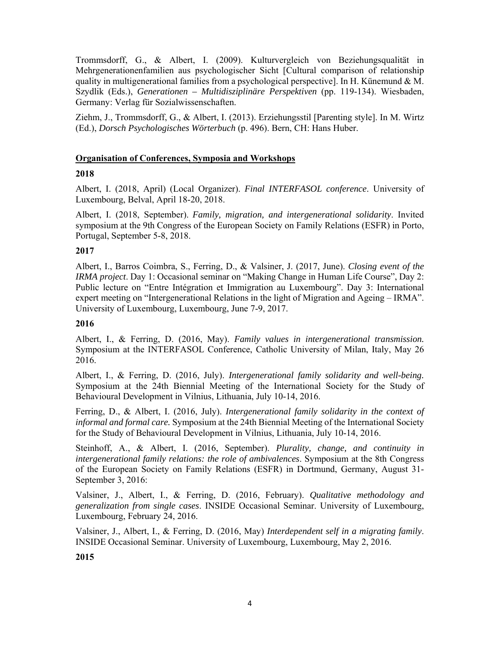Trommsdorff, G., & Albert, I. (2009). Kulturvergleich von Beziehungsqualität in Mehrgenerationenfamilien aus psychologischer Sicht [Cultural comparison of relationship quality in multigenerational families from a psychological perspective]. In H. Künemund & M. Szydlik (Eds.), *Generationen – Multidisziplinäre Perspektiven* (pp. 119-134). Wiesbaden, Germany: Verlag für Sozialwissenschaften.

Ziehm, J., Trommsdorff, G., & Albert, I. (2013). Erziehungsstil [Parenting style]. In M. Wirtz (Ed.), *Dorsch Psychologisches Wörterbuch* (p. 496). Bern, CH: Hans Huber.

### **Organisation of Conferences, Symposia and Workshops**

### **2018**

Albert, I. (2018, April) (Local Organizer). *Final INTERFASOL conference*. University of Luxembourg, Belval, April 18-20, 2018.

Albert, I. (2018, September). *Family, migration, and intergenerational solidarity*. Invited symposium at the 9th Congress of the European Society on Family Relations (ESFR) in Porto, Portugal, September 5-8, 2018.

### **2017**

Albert, I., Barros Coimbra, S., Ferring, D., & Valsiner, J. (2017, June). *Closing event of the IRMA project*. Day 1: Occasional seminar on "Making Change in Human Life Course", Day 2: Public lecture on "Entre Intégration et Immigration au Luxembourg". Day 3: International expert meeting on "Intergenerational Relations in the light of Migration and Ageing – IRMA". University of Luxembourg, Luxembourg, June 7-9, 2017.

### **2016**

Albert, I., & Ferring, D. (2016, May). *Family values in intergenerational transmission.* Symposium at the INTERFASOL Conference, Catholic University of Milan, Italy, May 26 2016.

Albert, I., & Ferring, D. (2016, July). *Intergenerational family solidarity and well-being.* Symposium at the 24th Biennial Meeting of the International Society for the Study of Behavioural Development in Vilnius, Lithuania, July 10-14, 2016.

Ferring, D., & Albert, I. (2016, July). *Intergenerational family solidarity in the context of informal and formal care.* Symposium at the 24th Biennial Meeting of the International Society for the Study of Behavioural Development in Vilnius, Lithuania, July 10-14, 2016.

Steinhoff, A., & Albert, I. (2016, September). *Plurality, change, and continuity in intergenerational family relations: the role of ambivalences*. Symposium at the 8th Congress of the European Society on Family Relations (ESFR) in Dortmund, Germany, August 31- September 3, 2016:

Valsiner, J., Albert, I., & Ferring, D. (2016, February). *Qualitative methodology and generalization from single cases*. INSIDE Occasional Seminar. University of Luxembourg, Luxembourg, February 24, 2016.

Valsiner, J., Albert, I., & Ferring, D. (2016, May) *Interdependent self in a migrating family*. INSIDE Occasional Seminar. University of Luxembourg, Luxembourg, May 2, 2016.

**2015**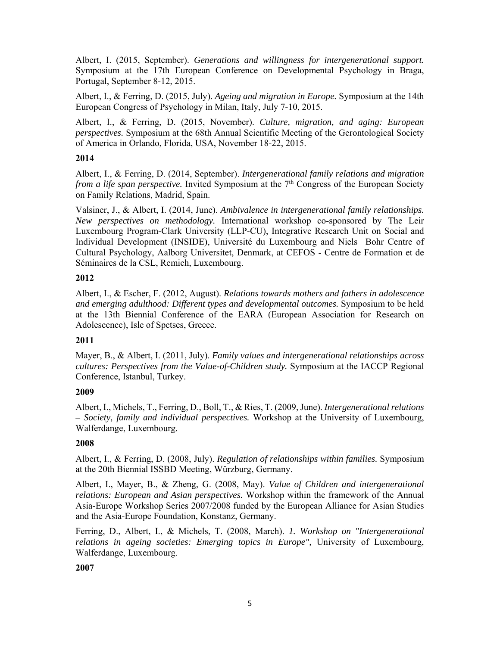Albert, I. (2015, September). *Generations and willingness for intergenerational support.* Symposium at the 17th European Conference on Developmental Psychology in Braga, Portugal, September 8-12, 2015.

Albert, I., & Ferring, D. (2015, July). *Ageing and migration in Europe.* Symposium at the 14th European Congress of Psychology in Milan, Italy, July 7-10, 2015.

Albert, I., & Ferring, D. (2015, November). *Culture, migration, and aging: European perspectives.* Symposium at the 68th Annual Scientific Meeting of the Gerontological Society of America in Orlando, Florida, USA, November 18-22, 2015.

## **2014**

Albert, I., & Ferring, D. (2014, September). *Intergenerational family relations and migration from a life span perspective.* Invited Symposium at the 7<sup>th</sup> Congress of the European Society on Family Relations, Madrid, Spain.

Valsiner, J., & Albert, I. (2014, June). *Ambivalence in intergenerational family relationships. New perspectives on methodology.* International workshop co-sponsored by The Leir Luxembourg Program-Clark University (LLP-CU), Integrative Research Unit on Social and Individual Development (INSIDE), Université du Luxembourg and Niels Bohr Centre of Cultural Psychology, Aalborg Universitet, Denmark, at CEFOS - Centre de Formation et de Séminaires de la CSL, Remich, Luxembourg.

### **2012**

Albert, I., & Escher, F. (2012, August). *Relations towards mothers and fathers in adolescence and emerging adulthood: Different types and developmental outcomes.* Symposium to be held at the 13th Biennial Conference of the EARA (European Association for Research on Adolescence), Isle of Spetses, Greece.

### **2011**

Mayer, B., & Albert, I. (2011, July). *Family values and intergenerational relationships across cultures: Perspectives from the Value-of-Children study.* Symposium at the IACCP Regional Conference, Istanbul, Turkey.

### **2009**

Albert, I., Michels, T., Ferring, D., Boll, T., & Ries, T. (2009, June). *Intergenerational relations – Society, family and individual perspectives.* Workshop at the University of Luxembourg, Walferdange, Luxembourg.

## **2008**

Albert, I., & Ferring, D. (2008, July). *Regulation of relationships within families.* Symposium at the 20th Biennial ISSBD Meeting, Würzburg, Germany.

Albert, I., Mayer, B., & Zheng, G. (2008, May). *Value of Children and intergenerational relations: European and Asian perspectives.* Workshop within the framework of the Annual Asia-Europe Workshop Series 2007/2008 funded by the European Alliance for Asian Studies and the Asia-Europe Foundation, Konstanz, Germany.

Ferring, D., Albert, I., & Michels, T. (2008, March). *1. Workshop on "Intergenerational relations in ageing societies: Emerging topics in Europe",* University of Luxembourg, Walferdange, Luxembourg.

### **2007**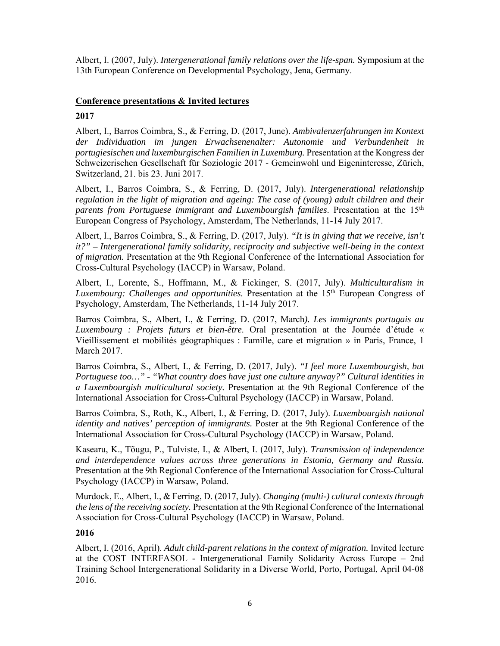Albert, I. (2007, July). *Intergenerational family relations over the life-span.* Symposium at the 13th European Conference on Developmental Psychology, Jena, Germany.

## **Conference presentations & Invited lectures**

### **2017**

Albert, I., Barros Coimbra, S., & Ferring, D. (2017, June). *Ambivalenzerfahrungen im Kontext der Individuation im jungen Erwachsenenalter: Autonomie und Verbundenheit in portugiesischen und luxemburgischen Familien in Luxemburg.* Presentation at the Kongress der Schweizerischen Gesellschaft für Soziologie 2017 - Gemeinwohl und Eigeninteresse, Zürich, Switzerland, 21. bis 23. Juni 2017.

Albert, I., Barros Coimbra, S., & Ferring, D. (2017, July). *Intergenerational relationship regulation in the light of migration and ageing: The case of (young) adult children and their parents from Portuguese immigrant and Luxembourgish families*. Presentation at the 15th European Congress of Psychology, Amsterdam, The Netherlands, 11-14 July 2017.

Albert, I., Barros Coimbra, S., & Ferring, D. (2017, July). *"It is in giving that we receive, isn't it?" – Intergenerational family solidarity, reciprocity and subjective well-being in the context of migration.* Presentation at the 9th Regional Conference of the International Association for Cross-Cultural Psychology (IACCP) in Warsaw, Poland.

Albert, I., Lorente, S., Hoffmann, M., & Fickinger, S. (2017, July). *Multiculturalism in Luxembourg: Challenges and opportunities.* Presentation at the 15th European Congress of Psychology, Amsterdam, The Netherlands, 11-14 July 2017.

Barros Coimbra, S., Albert, I., & Ferring, D. (2017, March*). Les immigrants portugais au Luxembourg : Projets futurs et bien-être*. Oral presentation at the Journée d'étude « Vieillissement et mobilités géographiques : Famille, care et migration » in Paris, France, 1 March 2017.

Barros Coimbra, S., Albert, I., & Ferring, D. (2017, July). *"I feel more Luxembourgish, but Portuguese too…" - "What country does have just one culture anyway?" Cultural identities in a Luxembourgish multicultural society.* Presentation at the 9th Regional Conference of the International Association for Cross-Cultural Psychology (IACCP) in Warsaw, Poland.

Barros Coimbra, S., Roth, K., Albert, I., & Ferring, D. (2017, July). *Luxembourgish national identity and natives' perception of immigrants.* Poster at the 9th Regional Conference of the International Association for Cross-Cultural Psychology (IACCP) in Warsaw, Poland.

Kasearu, K., Tõugu, P., Tulviste, I., & Albert, I. (2017, July). *Transmission of independence and interdependence values across three generations in Estonia, Germany and Russia.*  Presentation at the 9th Regional Conference of the International Association for Cross-Cultural Psychology (IACCP) in Warsaw, Poland.

Murdock, E., Albert, I., & Ferring, D. (2017, July). *Changing (multi-) cultural contexts through the lens of the receiving society.* Presentation at the 9th Regional Conference of the International Association for Cross-Cultural Psychology (IACCP) in Warsaw, Poland.

### **2016**

Albert, I. (2016, April). *Adult child-parent relations in the context of migration.* Invited lecture at the COST INTERFASOL - Intergenerational Family Solidarity Across Europe – 2nd Training School Intergenerational Solidarity in a Diverse World, Porto, Portugal, April 04-08 2016.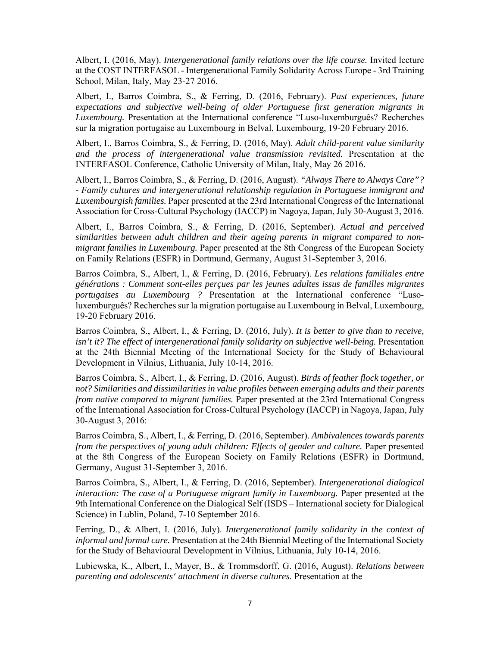Albert, I. (2016, May). *Intergenerational family relations over the life course.* Invited lecture at the COST INTERFASOL - Intergenerational Family Solidarity Across Europe - 3rd Training School, Milan, Italy, May 23-27 2016.

Albert, I., Barros Coimbra, S., & Ferring, D. (2016, February). *Past experiences, future expectations and subjective well-being of older Portuguese first generation migrants in Luxembourg.* Presentation at the International conference "Luso-luxemburguês? Recherches sur la migration portugaise au Luxembourg in Belval, Luxembourg, 19-20 February 2016.

Albert, I., Barros Coimbra, S., & Ferring, D. (2016, May). *Adult child-parent value similarity and the process of intergenerational value transmission revisited.* Presentation at the INTERFASOL Conference, Catholic University of Milan, Italy, May 26 2016.

Albert, I., Barros Coimbra, S., & Ferring, D. (2016, August). *"Always There to Always Care"? - Family cultures and intergenerational relationship regulation in Portuguese immigrant and Luxembourgish families.* Paper presented at the 23rd International Congress of the International Association for Cross-Cultural Psychology (IACCP) in Nagoya, Japan, July 30-August 3, 2016.

Albert, I., Barros Coimbra, S., & Ferring, D. (2016, September). *Actual and perceived similarities between adult children and their ageing parents in migrant compared to nonmigrant families in Luxembourg.* Paper presented at the 8th Congress of the European Society on Family Relations (ESFR) in Dortmund, Germany, August 31-September 3, 2016.

Barros Coimbra, S., Albert, I., & Ferring, D. (2016, February). *Les relations familiales entre générations : Comment sont-elles perçues par les jeunes adultes issus de familles migrantes portugaises au Luxembourg ?* Presentation at the International conference "Lusoluxemburguês? Recherches sur la migration portugaise au Luxembourg in Belval, Luxembourg, 19-20 February 2016.

Barros Coimbra, S., Albert, I., & Ferring, D. (2016, July). *It is better to give than to receive, isn't it? The effect of intergenerational family solidarity on subjective well-being.* Presentation at the 24th Biennial Meeting of the International Society for the Study of Behavioural Development in Vilnius, Lithuania, July 10-14, 2016.

Barros Coimbra, S., Albert, I., & Ferring, D. (2016, August). *Birds of feather flock together, or not? Similarities and dissimilarities in value profiles between emerging adults and their parents from native compared to migrant families.* Paper presented at the 23rd International Congress of the International Association for Cross-Cultural Psychology (IACCP) in Nagoya, Japan, July 30-August 3, 2016:

Barros Coimbra, S., Albert, I., & Ferring, D. (2016, September). *Ambivalences towards parents from the perspectives of young adult children: Effects of gender and culture.* Paper presented at the 8th Congress of the European Society on Family Relations (ESFR) in Dortmund, Germany, August 31-September 3, 2016.

Barros Coimbra, S., Albert, I., & Ferring, D. (2016, September). *Intergenerational dialogical interaction: The case of a Portuguese migrant family in Luxembourg.* Paper presented at the 9th International Conference on the Dialogical Self (ISDS – International society for Dialogical Science) in Lublin, Poland, 7-10 September 2016.

Ferring, D., & Albert, I. (2016, July). *Intergenerational family solidarity in the context of informal and formal care.* Presentation at the 24th Biennial Meeting of the International Society for the Study of Behavioural Development in Vilnius, Lithuania, July 10-14, 2016.

Lubiewska, K., Albert, I., Mayer, B., & Trommsdorff, G. (2016, August). *Relations between parenting and adolescents' attachment in diverse cultures.* Presentation at the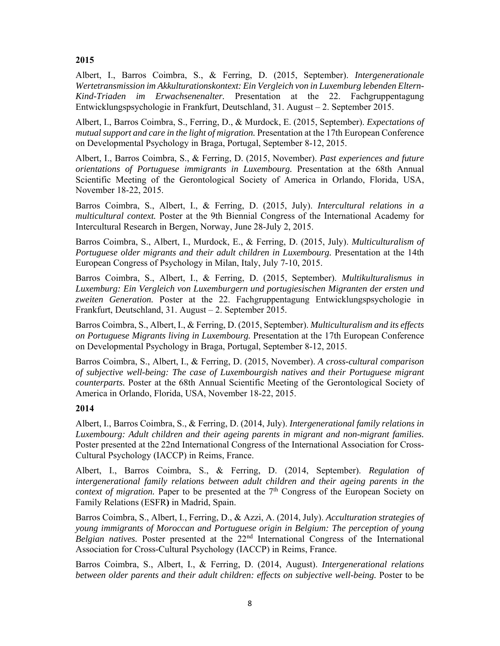## **2015**

Albert, I., Barros Coimbra, S., & Ferring, D. (2015, September). *Intergenerationale Wertetransmission im Akkulturationskontext: Ein Vergleich von in Luxemburg lebenden Eltern-Kind-Triaden im Erwachsenenalter.* Presentation at the 22. Fachgruppentagung Entwicklungspsychologie in Frankfurt, Deutschland, 31. August – 2. September 2015.

Albert, I., Barros Coimbra, S., Ferring, D., & Murdock, E. (2015, September). *Expectations of mutual support and care in the light of migration.* Presentation at the 17th European Conference on Developmental Psychology in Braga, Portugal, September 8-12, 2015.

Albert, I., Barros Coimbra, S., & Ferring, D. (2015, November). *Past experiences and future orientations of Portuguese immigrants in Luxembourg.* Presentation at the 68th Annual Scientific Meeting of the Gerontological Society of America in Orlando, Florida, USA, November 18-22, 2015.

Barros Coimbra, S., Albert, I., & Ferring, D. (2015, July). *Intercultural relations in a multicultural context.* Poster at the 9th Biennial Congress of the International Academy for Intercultural Research in Bergen, Norway, June 28-July 2, 2015.

Barros Coimbra, S., Albert, I., Murdock, E., & Ferring, D. (2015, July). *Multiculturalism of Portuguese older migrants and their adult children in Luxembourg.* Presentation at the 14th European Congress of Psychology in Milan, Italy, July 7-10, 2015.

Barros Coimbra, S., Albert, I., & Ferring, D. (2015, September). *Multikulturalismus in Luxemburg: Ein Vergleich von Luxemburgern und portugiesischen Migranten der ersten und zweiten Generation.* Poster at the 22. Fachgruppentagung Entwicklungspsychologie in Frankfurt, Deutschland, 31. August – 2. September 2015.

Barros Coimbra, S., Albert, I., & Ferring, D. (2015, September). *Multiculturalism and its effects on Portuguese Migrants living in Luxembourg.* Presentation at the 17th European Conference on Developmental Psychology in Braga, Portugal, September 8-12, 2015.

Barros Coimbra, S., Albert, I., & Ferring, D. (2015, November). *A cross-cultural comparison of subjective well-being: The case of Luxembourgish natives and their Portuguese migrant counterparts.* Poster at the 68th Annual Scientific Meeting of the Gerontological Society of America in Orlando, Florida, USA, November 18-22, 2015.

## **2014**

Albert, I., Barros Coimbra, S., & Ferring, D. (2014, July). *Intergenerational family relations in Luxembourg: Adult children and their ageing parents in migrant and non-migrant families.* Poster presented at the 22nd International Congress of the International Association for Cross-Cultural Psychology (IACCP) in Reims, France.

Albert, I., Barros Coimbra, S., & Ferring, D. (2014, September). *Regulation of intergenerational family relations between adult children and their ageing parents in the context of migration.* Paper to be presented at the 7<sup>th</sup> Congress of the European Society on Family Relations (ESFR**)** in Madrid, Spain.

Barros Coimbra, S., Albert, I., Ferring, D., & Azzi, A. (2014, July). *Acculturation strategies of young immigrants of Moroccan and Portuguese origin in Belgium: The perception of young Belgian natives.* Poster presented at the 22<sup>nd</sup> International Congress of the International Association for Cross-Cultural Psychology (IACCP) in Reims, France.

Barros Coimbra, S., Albert, I., & Ferring, D. (2014, August). *Intergenerational relations between older parents and their adult children: effects on subjective well-being.* Poster to be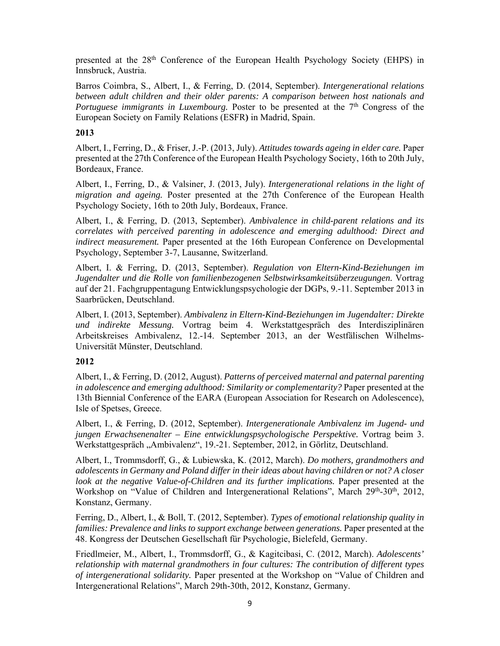presented at the 28th Conference of the European Health Psychology Society (EHPS) in Innsbruck, Austria.

Barros Coimbra, S., Albert, I., & Ferring, D. (2014, September). *Intergenerational relations between adult children and their older parents: A comparison between host nationals and Portuguese immigrants in Luxembourg.* Poster to be presented at the 7<sup>th</sup> Congress of the European Society on Family Relations (ESFR**)** in Madrid, Spain.

### **2013**

Albert, I., Ferring, D., & Friser, J.-P. (2013, July). *Attitudes towards ageing in elder care.* Paper presented at the 27th Conference of the European Health Psychology Society, 16th to 20th July, Bordeaux, France.

Albert, I., Ferring, D., & Valsiner, J. (2013, July). *Intergenerational relations in the light of migration and ageing.* Poster presented at the 27th Conference of the European Health Psychology Society, 16th to 20th July, Bordeaux, France.

Albert, I., & Ferring, D. (2013, September). *Ambivalence in child-parent relations and its correlates with perceived parenting in adolescence and emerging adulthood: Direct and indirect measurement.* Paper presented at the 16th European Conference on Developmental Psychology, September 3-7, Lausanne, Switzerland.

Albert, I. & Ferring, D. (2013, September). *Regulation von Eltern-Kind-Beziehungen im Jugendalter und die Rolle von familienbezogenen Selbstwirksamkeitsüberzeugungen.* Vortrag auf der 21. Fachgruppentagung Entwicklungspsychologie der DGPs, 9.-11. September 2013 in Saarbrücken, Deutschland.

Albert, I. (2013, September). *Ambivalenz in Eltern-Kind-Beziehungen im Jugendalter: Direkte und indirekte Messung.* Vortrag beim 4. Werkstattgespräch des Interdisziplinären Arbeitskreises Ambivalenz, 12.-14. September 2013, an der Westfälischen Wilhelms-Universität Münster, Deutschland.

## **2012**

Albert, I., & Ferring, D. (2012, August). *Patterns of perceived maternal and paternal parenting in adolescence and emerging adulthood: Similarity or complementarity?* Paper presented at the 13th Biennial Conference of the EARA (European Association for Research on Adolescence), Isle of Spetses, Greece.

Albert, I., & Ferring, D. (2012, September). *Intergenerationale Ambivalenz im Jugend- und jungen Erwachsenenalter – Eine entwicklungspsychologische Perspektive.* Vortrag beim 3. Werkstattgespräch "Ambivalenz", 19.-21. September, 2012, in Görlitz, Deutschland.

Albert, I., Trommsdorff, G., & Lubiewska, K. (2012, March). *Do mothers, grandmothers and adolescents in Germany and Poland differ in their ideas about having children or not? A closer look at the negative Value-of-Children and its further implications.* Paper presented at the Workshop on "Value of Children and Intergenerational Relations", March 29th-30th, 2012, Konstanz, Germany.

Ferring, D., Albert, I., & Boll, T. (2012, September). *Types of emotional relationship quality in families: Prevalence and links to support exchange between generations.* Paper presented at the 48. Kongress der Deutschen Gesellschaft für Psychologie, Bielefeld, Germany.

Friedlmeier, M., Albert, I., Trommsdorff, G., & Kagitcibasi, C. (2012, March). *Adolescents' relationship with maternal grandmothers in four cultures: The contribution of different types of intergenerational solidarity.* Paper presented at the Workshop on "Value of Children and Intergenerational Relations", March 29th-30th, 2012, Konstanz, Germany.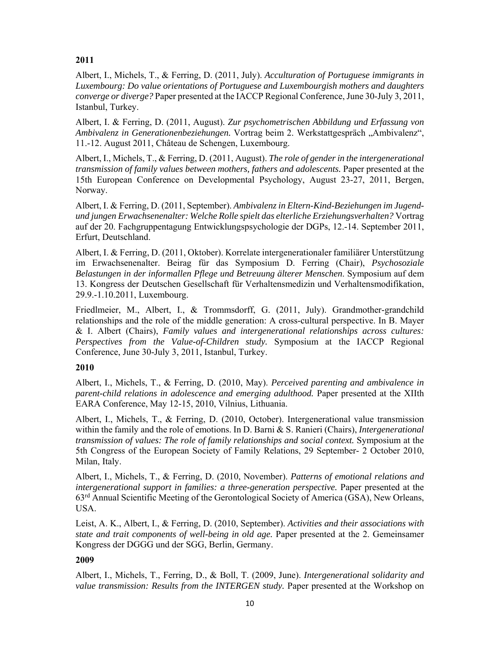# **2011**

Albert, I., Michels, T., & Ferring, D. (2011, July). *Acculturation of Portuguese immigrants in Luxembourg: Do value orientations of Portuguese and Luxembourgish mothers and daughters converge or diverge?* Paper presented at the IACCP Regional Conference, June 30-July 3, 2011, Istanbul, Turkey.

Albert, I. & Ferring, D. (2011, August). *Zur psychometrischen Abbildung und Erfassung von Ambivalenz in Generationenbeziehungen.* Vortrag beim 2. Werkstattgespräch "Ambivalenz", 11.-12. August 2011, Château de Schengen, Luxembourg.

Albert, I., Michels, T., & Ferring, D. (2011, August). *The role of gender in the intergenerational transmission of family values between mothers, fathers and adolescents.* Paper presented at the 15th European Conference on Developmental Psychology, August 23-27, 2011, Bergen, Norway.

Albert, I. & Ferring, D. (2011, September). *Ambivalenz in Eltern-Kind-Beziehungen im Jugendund jungen Erwachsenenalter: Welche Rolle spielt das elterliche Erziehungsverhalten?* Vortrag auf der 20. Fachgruppentagung Entwicklungspsychologie der DGPs, 12.-14. September 2011, Erfurt, Deutschland.

Albert, I. & Ferring, D. (2011, Oktober). Korrelate intergenerationaler familiärer Unterstützung im Erwachsenenalter. Beirag für das Symposium D. Ferring (Chair), *Psychosoziale Belastungen in der informallen Pflege und Betreuung älterer Menschen*. Symposium auf dem 13. Kongress der Deutschen Gesellschaft für Verhaltensmedizin und Verhaltensmodifikation, 29.9.-1.10.2011, Luxembourg.

Friedlmeier, M., Albert, I., & Trommsdorff, G. (2011, July). Grandmother-grandchild relationships and the role of the middle generation: A cross-cultural perspective. In B. Mayer & I. Albert (Chairs), *Family values and intergenerational relationships across cultures: Perspectives from the Value-of-Children study.* Symposium at the IACCP Regional Conference, June 30-July 3, 2011, Istanbul, Turkey.

## **2010**

Albert, I., Michels, T., & Ferring, D. (2010, May). *Perceived parenting and ambivalence in parent-child relations in adolescence and emerging adulthood.* Paper presented at the XIIth EARA Conference, May 12-15, 2010, Vilnius, Lithuania.

Albert, I., Michels, T., & Ferring, D. (2010, October). Intergenerational value transmission within the family and the role of emotions. In D. Barni & S. Ranieri (Chairs), *Intergenerational transmission of values: The role of family relationships and social context.* Symposium at the 5th Congress of the European Society of Family Relations, 29 September- 2 October 2010, Milan, Italy.

Albert, I., Michels, T., & Ferring, D. (2010, November). *Patterns of emotional relations and intergenerational support in families: a three-generation perspective.* Paper presented at the 63rd Annual Scientific Meeting of the Gerontological Society of America (GSA), New Orleans, USA.

Leist, A. K., Albert, I., & Ferring, D. (2010, September). *Activities and their associations with state and trait components of well-being in old age.* Paper presented at the 2. Gemeinsamer Kongress der DGGG und der SGG, Berlin, Germany.

## **2009**

Albert, I., Michels, T., Ferring, D., & Boll, T. (2009, June). *Intergenerational solidarity and value transmission: Results from the INTERGEN study.* Paper presented at the Workshop on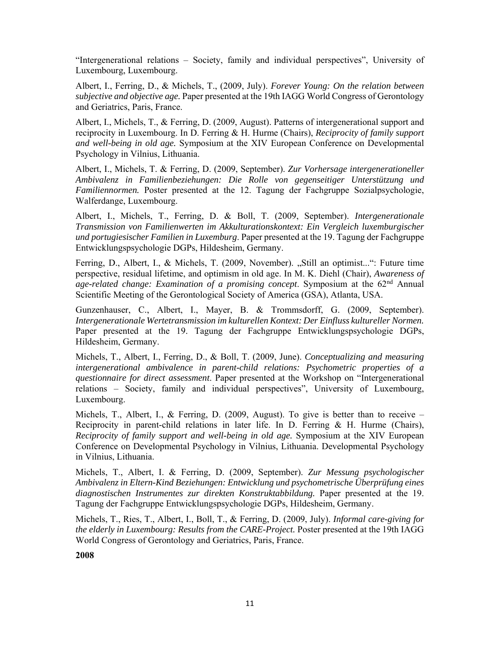"Intergenerational relations – Society, family and individual perspectives", University of Luxembourg, Luxembourg.

Albert, I., Ferring, D., & Michels, T., (2009, July). *Forever Young: On the relation between subjective and objective age.* Paper presented at the 19th IAGG World Congress of Gerontology and Geriatrics, Paris, France.

Albert, I., Michels, T., & Ferring, D. (2009, August). Patterns of intergenerational support and reciprocity in Luxembourg. In D. Ferring & H. Hurme (Chairs), *Reciprocity of family support and well-being in old age.* Symposium at the XIV European Conference on Developmental Psychology in Vilnius, Lithuania.

Albert, I., Michels, T. & Ferring, D. (2009, September). *Zur Vorhersage intergenerationeller Ambivalenz in Familienbeziehungen: Die Rolle von gegenseitiger Unterstützung und Familiennormen.* Poster presented at the 12. Tagung der Fachgruppe Sozialpsychologie, Walferdange, Luxembourg.

Albert, I., Michels, T., Ferring, D. & Boll, T. (2009, September). *Intergenerationale Transmission von Familienwerten im Akkulturationskontext: Ein Vergleich luxemburgischer und portugiesischer Familien in Luxemburg*. Paper presented at the 19. Tagung der Fachgruppe Entwicklungspsychologie DGPs, Hildesheim, Germany.

Ferring, D., Albert, I., & Michels, T. (2009, November). "Still an optimist...": Future time perspective, residual lifetime, and optimism in old age. In M. K. Diehl (Chair), *Awareness of age-related change: Examination of a promising concept*. Symposium at the 62nd Annual Scientific Meeting of the Gerontological Society of America (GSA), Atlanta, USA.

Gunzenhauser, C., Albert, I., Mayer, B. & Trommsdorff, G. (2009, September). *Intergenerationale Wertetransmission im kulturellen Kontext: Der Einfluss kultureller Normen.*  Paper presented at the 19. Tagung der Fachgruppe Entwicklungspsychologie DGPs, Hildesheim, Germany.

Michels, T., Albert, I., Ferring, D., & Boll, T. (2009, June). *Conceptualizing and measuring intergenerational ambivalence in parent-child relations: Psychometric properties of a questionnaire for direct assessment*. Paper presented at the Workshop on "Intergenerational relations – Society, family and individual perspectives", University of Luxembourg, Luxembourg.

Michels, T., Albert, I., & Ferring, D. (2009, August). To give is better than to receive – Reciprocity in parent-child relations in later life. In D. Ferring & H. Hurme (Chairs), *Reciprocity of family support and well-being in old age.* Symposium at the XIV European Conference on Developmental Psychology in Vilnius, Lithuania. Developmental Psychology in Vilnius, Lithuania.

Michels, T., Albert, I. & Ferring, D. (2009, September). *Zur Messung psychologischer Ambivalenz in Eltern-Kind Beziehungen: Entwicklung und psychometrische Überprüfung eines diagnostischen Instrumentes zur direkten Konstruktabbildung.* Paper presented at the 19. Tagung der Fachgruppe Entwicklungspsychologie DGPs, Hildesheim, Germany.

Michels, T., Ries, T., Albert, I., Boll, T., & Ferring, D. (2009, July). *Informal care-giving for the elderly in Luxembourg: Results from the CARE-Project.* Poster presented at the 19th IAGG World Congress of Gerontology and Geriatrics, Paris, France.

**2008**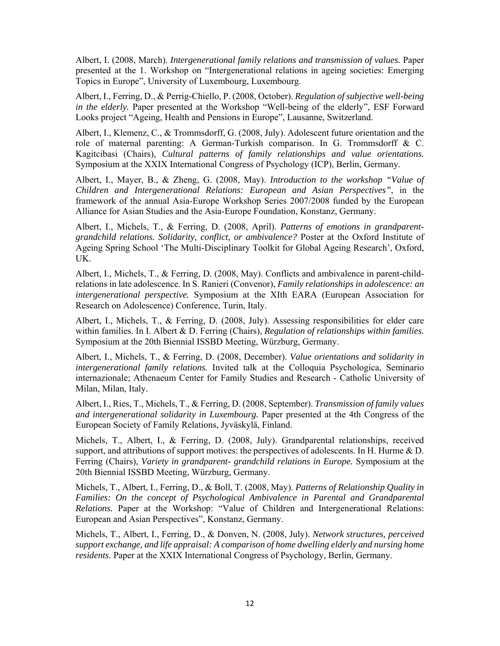Albert, I. (2008, March). *Intergenerational family relations and transmission of values.* Paper presented at the 1. Workshop on "Intergenerational relations in ageing societies: Emerging Topics in Europe", University of Luxembourg, Luxembourg.

Albert, I., Ferring, D., & Perrig-Chiello, P. (2008, October). *Regulation of subjective well-being in the elderly.* Paper presented at the Workshop "Well-being of the elderly", ESF Forward Looks project "Ageing, Health and Pensions in Europe", Lausanne, Switzerland.

Albert, I., Klemenz, C., & Trommsdorff, G. (2008, July). Adolescent future orientation and the role of maternal parenting: A German-Turkish comparison. In G. Trommsdorff & C. Kagitcibasi (Chairs), *Cultural patterns of family relationships and value orientations.* Symposium at the XXIX International Congress of Psychology (ICP), Berlin, Germany.

Albert, I., Mayer, B., & Zheng, G. (2008, May). *Introduction to the workshop "Value of Children and Intergenerational Relations: European and Asian Perspectives"*, in the framework of the annual Asia-Europe Workshop Series 2007/2008 funded by the European Alliance for Asian Studies and the Asia-Europe Foundation, Konstanz, Germany.

Albert, I., Michels, T., & Ferring, D. (2008, April). *Patterns of emotions in grandparentgrandchild relations. Solidarity, conflict, or ambivalence?* Poster at the Oxford Institute of Ageing Spring School 'The Multi-Disciplinary Toolkit for Global Ageing Research', Oxford, UK.

Albert, I., Michels, T., & Ferring, D. (2008, May). Conflicts and ambivalence in parent-childrelations in late adolescence. In S. Ranieri (Convenor), *Family relationships in adolescence: an intergenerational perspective.* Symposium at the XIth EARA (European Association for Research on Adolescence) Conference, Turin, Italy.

Albert, I., Michels, T., & Ferring, D. (2008, July). Assessing responsibilities for elder care within families. In I. Albert & D. Ferring (Chairs), *Regulation of relationships within families.*  Symposium at the 20th Biennial ISSBD Meeting, Würzburg, Germany.

Albert, I., Michels, T., & Ferring, D. (2008, December). *Value orientations and solidarity in intergenerational family relations.* Invited talk at the Colloquia Psychologica, Seminario internazionale; Athenaeum Center for Family Studies and Research - Catholic University of Milan, Milan, Italy.

Albert, I., Ries, T., Michels, T., & Ferring, D. (2008, September). *Transmission of family values and intergenerational solidarity in Luxembourg.* Paper presented at the 4th Congress of the European Society of Family Relations, Jyväskylä, Finland.

Michels, T., Albert, I., & Ferring, D. (2008, July). Grandparental relationships, received support, and attributions of support motives: the perspectives of adolescents. In H. Hurme & D. Ferring (Chairs), *Variety in grandparent- grandchild relations in Europe.* Symposium at the 20th Biennial ISSBD Meeting, Würzburg, Germany.

Michels, T., Albert, I., Ferring, D., & Boll, T. (2008, May). *Patterns of Relationship Quality in Families: On the concept of Psychological Ambivalence in Parental and Grandparental Relations.* Paper at the Workshop: "Value of Children and Intergenerational Relations: European and Asian Perspectives", Konstanz, Germany.

Michels, T., Albert, I., Ferring, D., & Donven, N. (2008, July). *Network structures, perceived support exchange, and life appraisal: A comparison of home dwelling elderly and nursing home residents.* Paper at the XXIX International Congress of Psychology, Berlin, Germany.